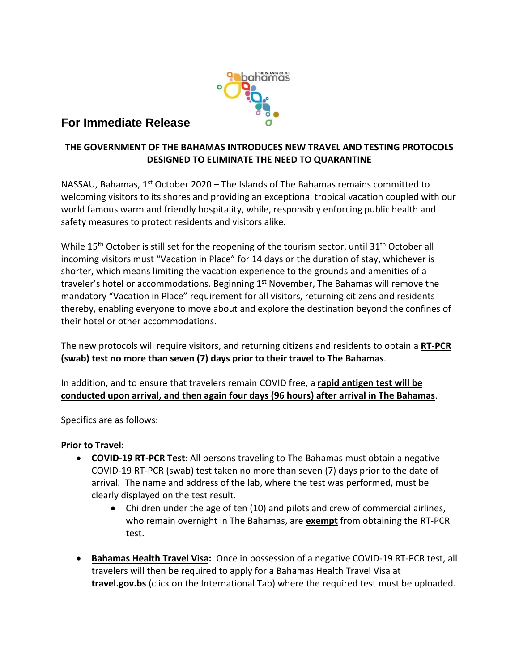

# **For Immediate Release**

## **THE GOVERNMENT OF THE BAHAMAS INTRODUCES NEW TRAVEL AND TESTING PROTOCOLS DESIGNED TO ELIMINATE THE NEED TO QUARANTINE**

NASSAU, Bahamas, 1<sup>st</sup> October 2020 – The Islands of The Bahamas remains committed to welcoming visitors to its shores and providing an exceptional tropical vacation coupled with our world famous warm and friendly hospitality, while, responsibly enforcing public health and safety measures to protect residents and visitors alike.

While 15<sup>th</sup> October is still set for the reopening of the tourism sector, until 31<sup>th</sup> October all incoming visitors must "Vacation in Place" for 14 days or the duration of stay, whichever is shorter, which means limiting the vacation experience to the grounds and amenities of a traveler's hotel or accommodations. Beginning 1<sup>st</sup> November, The Bahamas will remove the mandatory "Vacation in Place" requirement for all visitors, returning citizens and residents thereby, enabling everyone to move about and explore the destination beyond the confines of their hotel or other accommodations.

The new protocols will require visitors, and returning citizens and residents to obtain a **RT-PCR (swab) test no more than seven (7) days prior to their travel to The Bahamas**.

In addition, and to ensure that travelers remain COVID free, a **rapid antigen test will be conducted upon arrival, and then again four days (96 hours) after arrival in The Bahamas**.

Specifics are as follows:

## **Prior to Travel:**

- **COVID-19 RT-PCR Test**: All persons traveling to The Bahamas must obtain a negative COVID-19 RT-PCR (swab) test taken no more than seven (7) days prior to the date of arrival. The name and address of the lab, where the test was performed, must be clearly displayed on the test result.
	- Children under the age of ten (10) and pilots and crew of commercial airlines, who remain overnight in The Bahamas, are **exempt** from obtaining the RT-PCR test.
- **Bahamas Health Travel Visa:** Once in possession of a negative COVID-19 RT-PCR test, all travelers will then be required to apply for a Bahamas Health Travel Visa at **travel.gov.bs** (click on the International Tab) where the required test must be uploaded.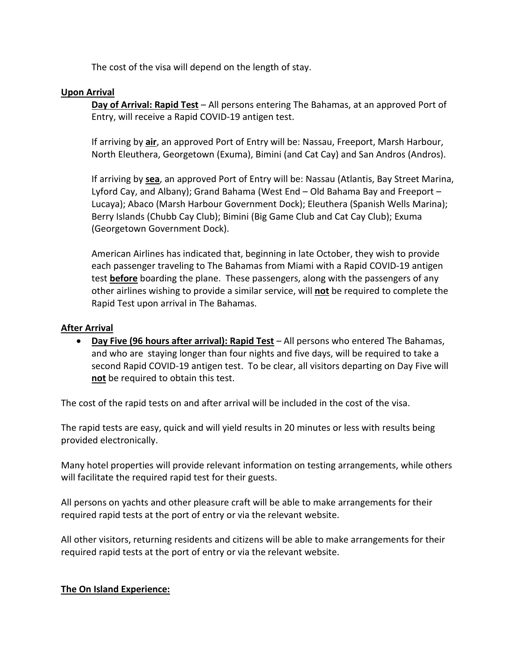The cost of the visa will depend on the length of stay.

#### **Upon Arrival**

**Day of Arrival: Rapid Test** – All persons entering The Bahamas, at an approved Port of Entry, will receive a Rapid COVID-19 antigen test.

If arriving by **air**, an approved Port of Entry will be: Nassau, Freeport, Marsh Harbour, North Eleuthera, Georgetown (Exuma), Bimini (and Cat Cay) and San Andros (Andros).

If arriving by **sea**, an approved Port of Entry will be: Nassau (Atlantis, Bay Street Marina, Lyford Cay, and Albany); Grand Bahama (West End – Old Bahama Bay and Freeport – Lucaya); Abaco (Marsh Harbour Government Dock); Eleuthera (Spanish Wells Marina); Berry Islands (Chubb Cay Club); Bimini (Big Game Club and Cat Cay Club); Exuma (Georgetown Government Dock).

American Airlines has indicated that, beginning in late October, they wish to provide each passenger traveling to The Bahamas from Miami with a Rapid COVID-19 antigen test **before** boarding the plane. These passengers, along with the passengers of any other airlines wishing to provide a similar service, will **not** be required to complete the Rapid Test upon arrival in The Bahamas.

#### **After Arrival**

• **Day Five (96 hours after arrival): Rapid Test** – All persons who entered The Bahamas, and who are staying longer than four nights and five days, will be required to take a second Rapid COVID-19 antigen test. To be clear, all visitors departing on Day Five will **not** be required to obtain this test.

The cost of the rapid tests on and after arrival will be included in the cost of the visa.

The rapid tests are easy, quick and will yield results in 20 minutes or less with results being provided electronically.

Many hotel properties will provide relevant information on testing arrangements, while others will facilitate the required rapid test for their guests.

All persons on yachts and other pleasure craft will be able to make arrangements for their required rapid tests at the port of entry or via the relevant website.

All other visitors, returning residents and citizens will be able to make arrangements for their required rapid tests at the port of entry or via the relevant website.

### **The On Island Experience:**